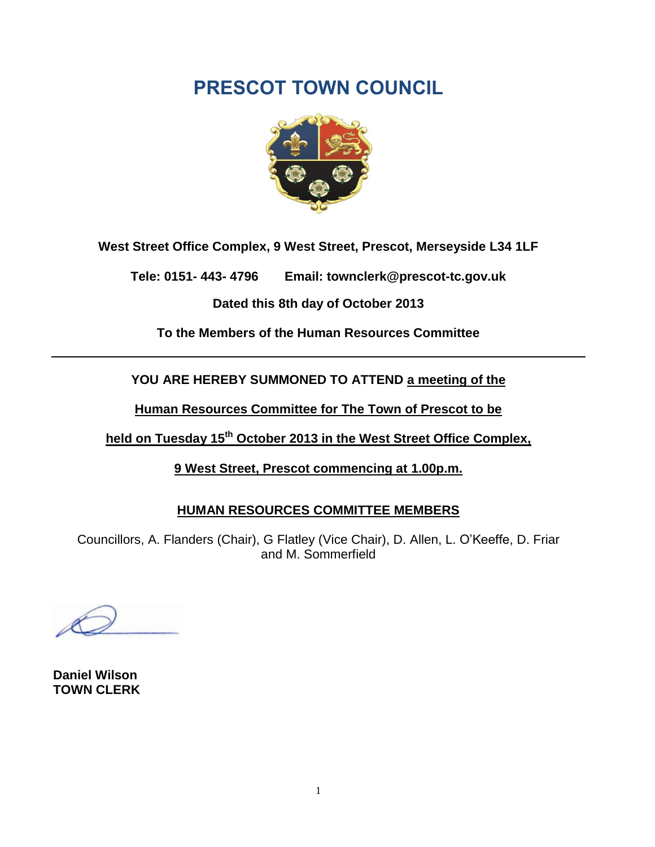# **PRESCOT TOWN COUNCIL**



**West Street Office Complex, 9 West Street, Prescot, Merseyside L34 1LF**

**Tele: 0151- 443- 4796 Email: townclerk@prescot-tc.gov.uk**

**Dated this 8th day of October 2013**

**To the Members of the Human Resources Committee**

**YOU ARE HEREBY SUMMONED TO ATTEND a meeting of the**

**Human Resources Committee for The Town of Prescot to be**

**held on Tuesday 15 th October 2013 in the West Street Office Complex,**

**9 West Street, Prescot commencing at 1.00p.m.**

#### **HUMAN RESOURCES COMMITTEE MEMBERS**

Councillors, A. Flanders (Chair), G Flatley (Vice Chair), D. Allen, L. O'Keeffe, D. Friar and M. Sommerfield

**Daniel Wilson TOWN CLERK**